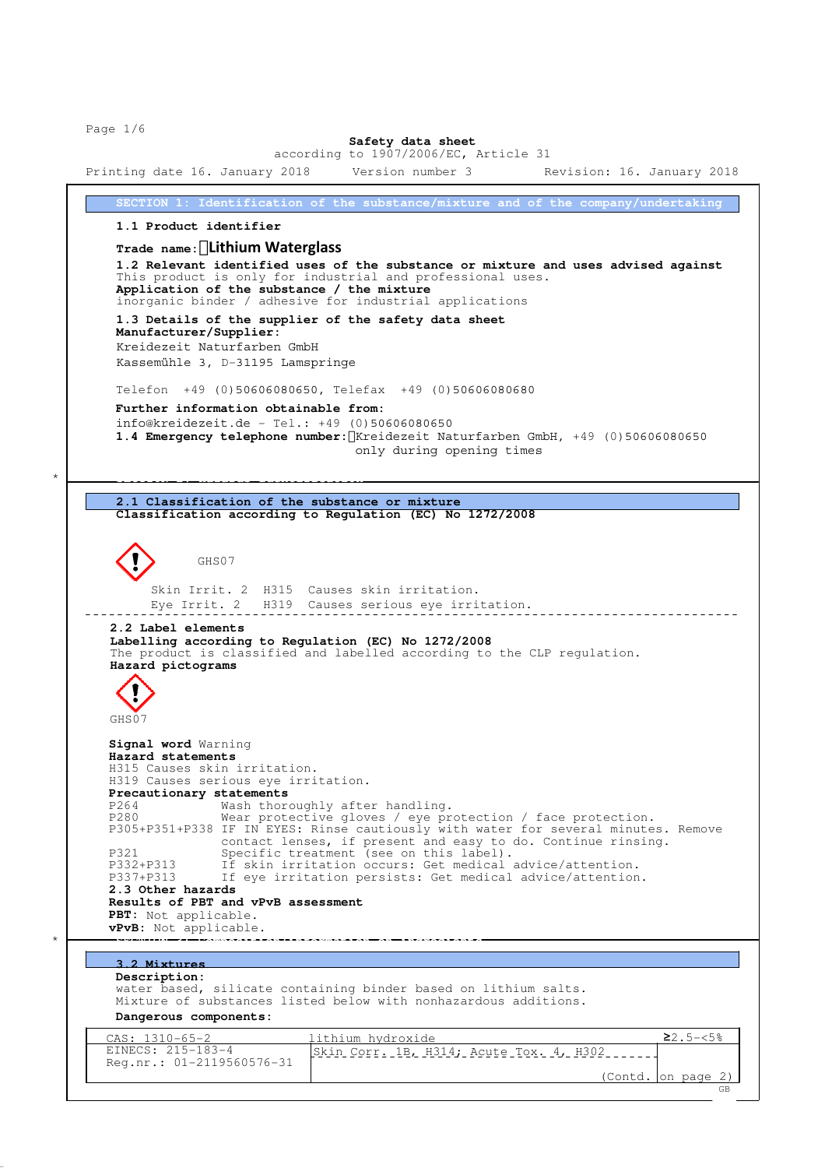Page 1/6

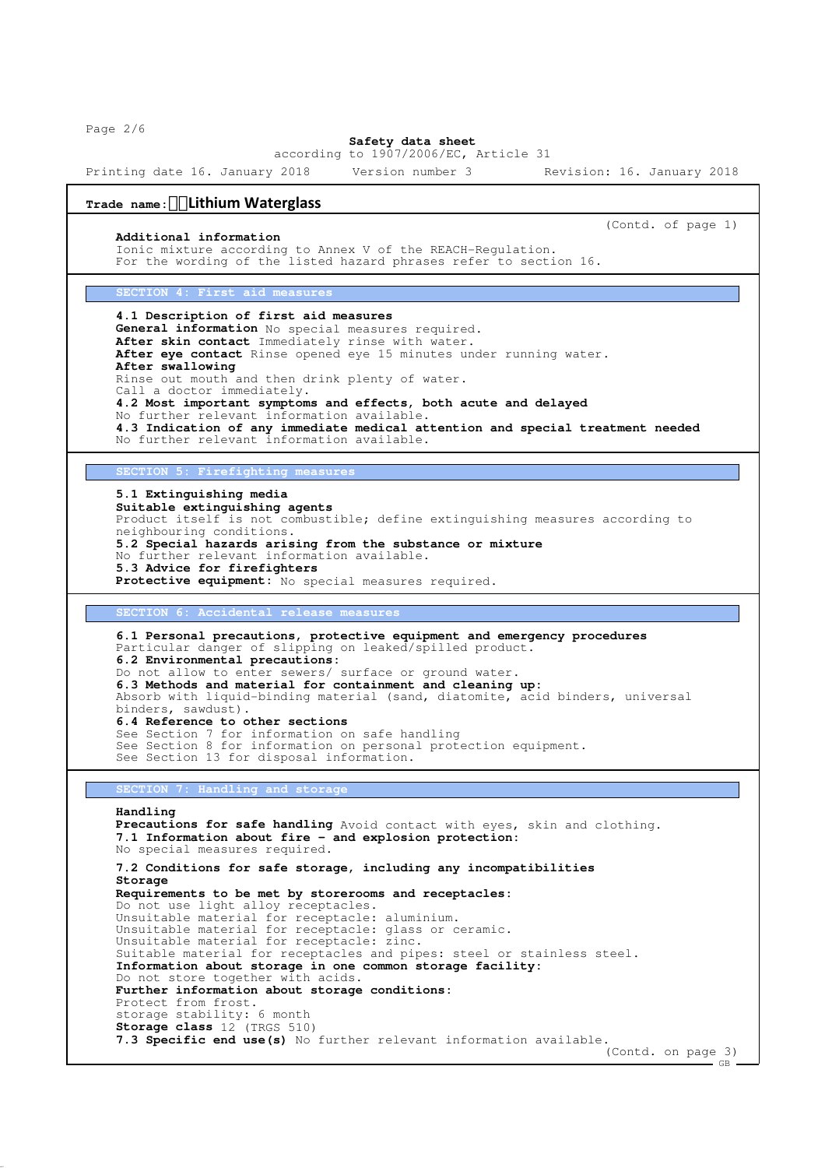Page 2/6

## **Safety data sheet**

according to 1907/2006/EC, Article 31

Printing date 16. January 2018 Version number 3 Revision: 16. January 2018

# **Trade name:Lithium Waterglass**

## **Additional information**

(Contd. of page 1)

Ionic mixture according to Annex V of the REACH-Regulation. For the wording of the listed hazard phrases refer to section 16.

### **SECTION 4: First aid measures**

**4.1 Description of first aid measures General information** No special measures required. After skin contact Immediately rinse with water. **After eye contact** Rinse opened eye 15 minutes under running water. **After swallowing** Rinse out mouth and then drink plenty of water. Call a doctor immediately. **4.2 Most important symptoms and effects, both acute and delayed** No further relevant information available. **4.3 Indication of any immediate medical attention and special treatment needed** No further relevant information available.

**SECTION 5: Firefighting measu** 

**5.1 Extinguishing media Suitable extinguishing agents** Product itself is not combustible; define extinguishing measures according to neighbouring conditions. **5.2 Special hazards arising from the substance or mixture** No further relevant information available. **5.3 Advice for firefighters** Protective equipment: No special measures required.

**Accidental release measur** 

```
6.1 Personal precautions, protective equipment and emergency procedures
Particular danger of slipping on leaked/spilled product.
6.2 Environmental precautions:
Do not allow to enter sewers/ surface or ground water.
6.3 Methods and material for containment and cleaning up:
Absorb with liquid-binding material (sand, diatomite, acid binders, universal
binders, sawdust).
6.4 Reference to other sections
See Section 7 for information on safe handling
See Section 8 for information on personal protection equipment.
See Section 13 for disposal information.
```
**SECTION 7: Handling and storage**

```
Handling
Precautions for safe handling Avoid contact with eyes, skin and clothing.
7.1 Information about fire - and explosion protection:
No special measures required.
7.2 Conditions for safe storage, including any incompatibilities
Storage
Requirements to be met by storerooms and receptacles:
Do not use light alloy receptacles.
Unsuitable material for receptacle: aluminium.
Unsuitable material for receptacle: glass or ceramic.
Unsuitable material for receptacle: zinc.
Suitable material for receptacles and pipes: steel or stainless steel.
Information about storage in one common storage facility:
Do not store together with acids.
Further information about storage conditions:
Protect from frost.
storage stability: 6 month
Storage class 12 (TRGS 510)
7.3 Specific end use(s) No further relevant information available.
                                                                  (Contd. on page 3)
```
 $-$  GB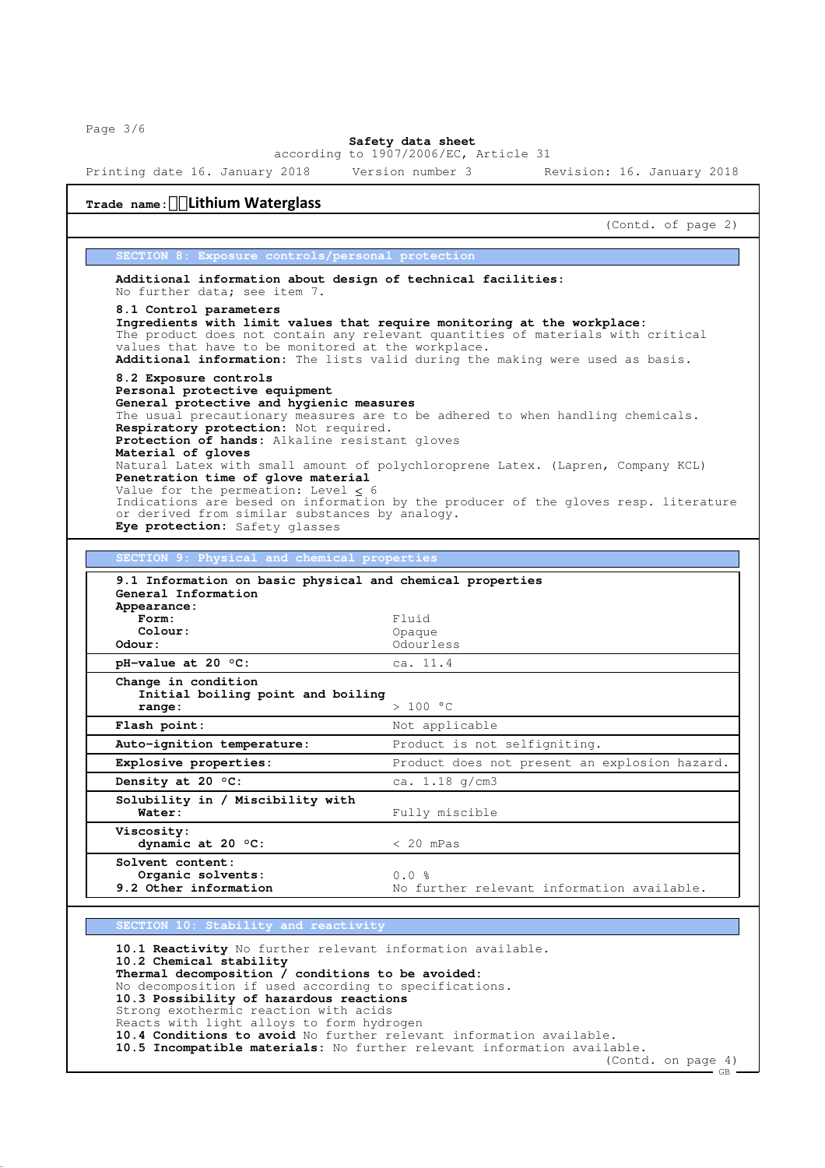Page 3/6

#### **Safety data sheet** according to 1907/2006/EC, Article 31

Printing date 16. January 2018 Version number 3 Revision: 16. January 2018

|                                                                                                                                                                                                                                                                                                                                               | (Contd. of page 2)                                                                                                                                                                                                                          |
|-----------------------------------------------------------------------------------------------------------------------------------------------------------------------------------------------------------------------------------------------------------------------------------------------------------------------------------------------|---------------------------------------------------------------------------------------------------------------------------------------------------------------------------------------------------------------------------------------------|
| SECTION 8: Exposure controls/personal protection                                                                                                                                                                                                                                                                                              |                                                                                                                                                                                                                                             |
| Additional information about design of technical facilities:<br>No further data; see item 7.                                                                                                                                                                                                                                                  |                                                                                                                                                                                                                                             |
| 8.1 Control parameters<br>values that have to be monitored at the workplace.                                                                                                                                                                                                                                                                  | Ingredients with limit values that require monitoring at the workplace:<br>The product does not contain any relevant quantities of materials with critical<br>Additional information: The lists valid during the making were used as basis. |
| 8.2 Exposure controls                                                                                                                                                                                                                                                                                                                         |                                                                                                                                                                                                                                             |
| Personal protective equipment                                                                                                                                                                                                                                                                                                                 |                                                                                                                                                                                                                                             |
| General protective and hygienic measures<br>Respiratory protection: Not required.<br>Protection of hands: Alkaline resistant gloves                                                                                                                                                                                                           | The usual precautionary measures are to be adhered to when handling chemicals.                                                                                                                                                              |
| Material of gloves<br>Penetration time of glove material<br>Value for the permeation: Level $<$ 6                                                                                                                                                                                                                                             | Natural Latex with small amount of polychloroprene Latex. (Lapren, Company KCL)                                                                                                                                                             |
| or derived from similar substances by analogy.<br>Eye protection: Safety glasses                                                                                                                                                                                                                                                              | Indications are besed on information by the producer of the gloves resp. literature                                                                                                                                                         |
|                                                                                                                                                                                                                                                                                                                                               |                                                                                                                                                                                                                                             |
| SECTION 9: Physical and chemical properties                                                                                                                                                                                                                                                                                                   |                                                                                                                                                                                                                                             |
| General Information                                                                                                                                                                                                                                                                                                                           |                                                                                                                                                                                                                                             |
| Form:<br>Colour:                                                                                                                                                                                                                                                                                                                              | Fluid<br>Opaque                                                                                                                                                                                                                             |
|                                                                                                                                                                                                                                                                                                                                               | Odourless                                                                                                                                                                                                                                   |
| Initial boiling point and boiling<br>range:                                                                                                                                                                                                                                                                                                   | ca. 11.4<br>> 100 °C                                                                                                                                                                                                                        |
|                                                                                                                                                                                                                                                                                                                                               |                                                                                                                                                                                                                                             |
|                                                                                                                                                                                                                                                                                                                                               | Not applicable<br>Product is not selfigniting.                                                                                                                                                                                              |
|                                                                                                                                                                                                                                                                                                                                               |                                                                                                                                                                                                                                             |
|                                                                                                                                                                                                                                                                                                                                               | Product does not present an explosion hazard.<br>ca. $1.18$ g/cm3                                                                                                                                                                           |
| <b>Water:</b>                                                                                                                                                                                                                                                                                                                                 | Fully miscible                                                                                                                                                                                                                              |
| dynamic at 20 $°C$ :                                                                                                                                                                                                                                                                                                                          | $< 20$ mPas                                                                                                                                                                                                                                 |
| Organic solvents:<br>9.2 Other information                                                                                                                                                                                                                                                                                                    | 0.0%<br>No further relevant information available.                                                                                                                                                                                          |
| Solvent content:                                                                                                                                                                                                                                                                                                                              |                                                                                                                                                                                                                                             |
| Appearance:<br>Odour:<br>pH-value at 20 $\circ$ C:<br>Change in condition<br>Flash point:<br>Auto-ignition temperature:<br>Explosive properties:<br>Density at 20 $\degree$ C:<br>Solubility in / Miscibility with<br><b>Viscosity:</b><br>SECTION 10: Stability and reactivity<br>10.1 Reactivity No further relevant information available. |                                                                                                                                                                                                                                             |

Strong exothermic reaction with acids Reacts with light alloys to form hydrogen

**10.4 Conditions to avoid** No further relevant information available. **10.5 Incompatible materials:** No further relevant information available.

(Contd. on page 4)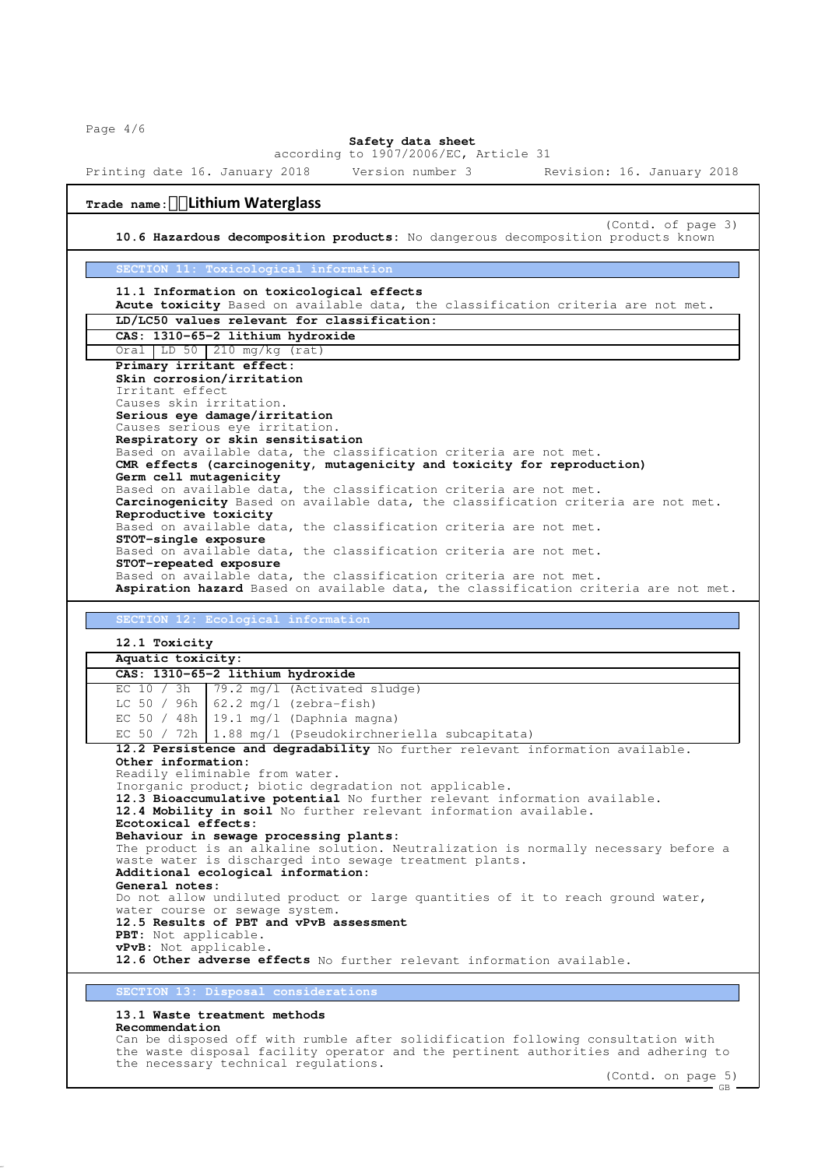Page 4/6

#### **Safety data sheet** according to 1907/2006/EC, Article 31

Printing date 16. January 2018 Version number 3 Revision: 16. January 2018

# **Trade name:Lithium Waterglass**

(Contd. of page 3) **10.6 Hazardous decomposition products:** No dangerous decomposition products known

## **SECTION 11: Toxicological information**

## **11.1 Information on toxicological effects**

**Acute toxicity** Based on available data, the classification criteria are not met. **LD/LC50 values relevant for classification:**

| CAS: 1310-65-2 lithium hydroxide                                                    |  |  |
|-------------------------------------------------------------------------------------|--|--|
| Oral LD $50$ 210 mg/kg (rat)                                                        |  |  |
| Primary irritant effect:                                                            |  |  |
| Skin corrosion/irritation                                                           |  |  |
| Trritant effect                                                                     |  |  |
| Causes skin irritation.                                                             |  |  |
| Serious eye damage/irritation                                                       |  |  |
| Causes serious eye irritation.                                                      |  |  |
| Respiratory or skin sensitisation                                                   |  |  |
| Based on available data, the classification criteria are not met.                   |  |  |
| CMR effects (carcinogenity, mutagenicity and toxicity for reproduction)             |  |  |
| Germ cell mutagenicity                                                              |  |  |
| Based on available data, the classification criteria are not met.                   |  |  |
| Carcinogenicity Based on available data, the classification criteria are not met.   |  |  |
| Reproductive toxicity                                                               |  |  |
| Based on available data, the classification criteria are not met.                   |  |  |
| STOT-single exposure                                                                |  |  |
| Based on available data, the classification criteria are not met.                   |  |  |
| STOT-repeated exposure                                                              |  |  |
| Based on available data, the classification criteria are not met.                   |  |  |
| Aspiration hazard Based on available data, the classification criteria are not met. |  |  |

## **SECTION 12: Ecological information**

**12.1 Toxicity**

## **Aquatic toxicity: CAS: 1310-65-2 lithium hydroxide** EC 10 / 3h | 79.2 mg/l (Activated sludge) LC 50 / 96h  $62.2$  mg/l (zebra-fish) EC 50 / 48h 19.1 mg/l (Daphnia magna) EC 50 / 72h | 1.88 mg/l (Pseudokirchneriella subcapitata) **12.2 Persistence and degradability** No further relevant information available. **Other information:** Readily eliminable from water. Inorganic product; biotic degradation not applicable. **12.3 Bioaccumulative potential** No further relevant information available. **12.4 Mobility in soil** No further relevant information available. **Ecotoxical effects: Behaviour in sewage processing plants:** The product is an alkaline solution. Neutralization is normally necessary before a waste water is discharged into sewage treatment plants. **Additional ecological information: General notes:** Do not allow undiluted product or large quantities of it to reach ground water, water course or sewage system. **12.5 Results of PBT and vPvB assessment PBT:** Not applicable. **vPvB:** Not applicable. 12.6 Other adverse effects No further relevant information available.

# **SECTION 13: Disposal considerations**

## **13.1 Waste treatment methods**

## **Recommendation**

Can be disposed off with rumble after solidification following consultation with the waste disposal facility operator and the pertinent authorities and adhering to the necessary technical regulations.

(Contd. on page 5)  $-$  GB  $\cdot$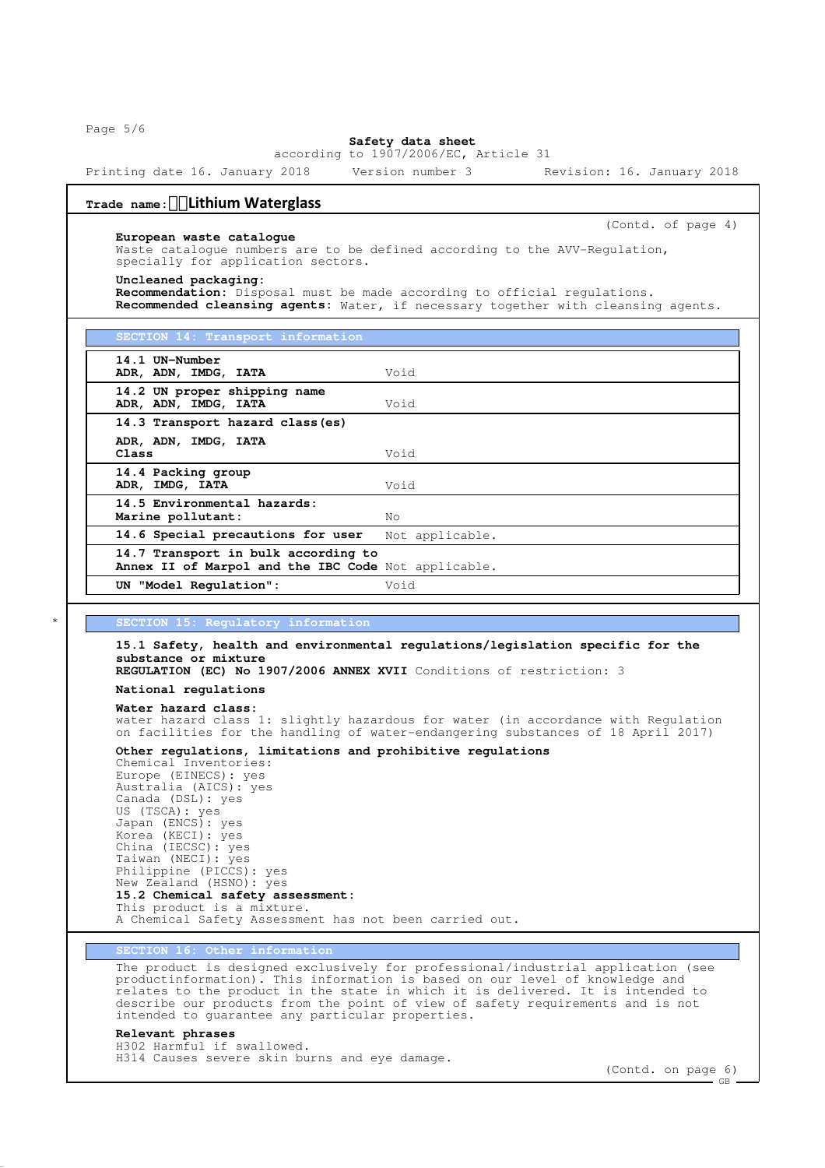Page 5/6

Г

#### **Safety data sheet** according to 1907/2006/EC, Article 31

Printing date 16. January 2018 Version number 3 Revision: 16. January 2018

# **Trade name:Lithium Waterglass**

**European waste catalogue**

(Contd. of page 4)

Waste catalogue numbers are to be defined according to the AVV-Regulation, specially for application sectors.

## **Uncleaned packaging:**

**Recommendation:** Disposal must be made according to official regulations. **Recommended cleansing agents:** Water, if necessary together with cleansing agents.

| SECTION 14: Transport information                                                          |                 |
|--------------------------------------------------------------------------------------------|-----------------|
| 14.1 UN-Number<br>ADR, ADN, IMDG, IATA                                                     | Void            |
| 14.2 UN proper shipping name<br>ADR, ADN, IMDG, IATA                                       | Void            |
| 14.3 Transport hazard class (es)                                                           |                 |
| ADR, ADN, IMDG, IATA<br>Class                                                              | Void            |
| 14.4 Packing group<br>ADR, IMDG, IATA                                                      | Void            |
| 14.5 Environmental hazards:<br>Marine pollutant:                                           | Nο              |
| 14.6 Special precautions for user                                                          | Not applicable. |
| 14.7 Transport in bulk according to<br>Annex II of Marpol and the IBC Code Not applicable. |                 |
| UN "Model Requlation":                                                                     | Void            |

#### $information$

**15.1 Safety, health and environmental regulations/legislation specific for the substance or mixture REGULATION (EC) No 1907/2006 ANNEX XVII** Conditions of restriction: 3 **National regulations Water hazard class:** water hazard class 1: slightly hazardous for water (in accordance with Regulation on facilities for the handling of water-endangering substances of 18 April 2017) **Other regulations, limitations and prohibitive regulations** Chemical Inventories: Europe (EINECS): yes Australia (AICS): yes Canada (DSL): yes US (TSCA): yes Japan (ENCS): yes Korea (KECI): yes China (IECSC): yes Taiwan (NECI): yes Philippine (PICCS): yes New Zealand (HSNO): yes **15.2 Chemical safety assessment:** This product is a mixture. A Chemical Safety Assessment has not been carried out.

#### 16: Other information

The product is designed exclusively for professional/industrial application (see productinformation). This information is based on our level of knowledge and relates to the product in the state in which it is delivered. It is intended to describe our products from the point of view of safety requirements and is not intended to guarantee any particular properties.

## **Relevant phrases**

H302 Harmful if swallowed. H314 Causes severe skin burns and eye damage.